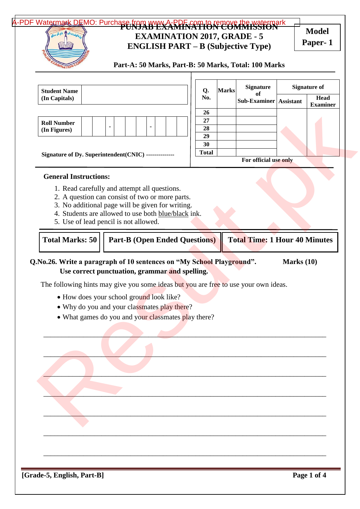# A-PDF Watermark DEMO: Purchase from www.A-RDF.com to remove the watermark **EXAMINATION 2017, GRADE - 5 ENGLISH PART – B (Subjective Type) Model**

**Paper- 1**

| <b>Student Name</b>                                                                                                                                                                                                                                                                                             |  |                | Q. | <b>Marks</b>                         | <b>Signature</b> | <b>Signature of</b>                  |                  |                         |
|-----------------------------------------------------------------------------------------------------------------------------------------------------------------------------------------------------------------------------------------------------------------------------------------------------------------|--|----------------|----|--------------------------------------|------------------|--------------------------------------|------------------|-------------------------|
| (In Capitals)                                                                                                                                                                                                                                                                                                   |  |                |    | No.                                  |                  | оf<br><b>Sub-Examiner</b>            | <b>Assistant</b> | Head<br><b>Examiner</b> |
|                                                                                                                                                                                                                                                                                                                 |  |                |    | 26                                   |                  |                                      |                  |                         |
| <b>Roll Number</b><br>(In Figures)                                                                                                                                                                                                                                                                              |  | $\blacksquare$ |    | 27<br>28                             |                  |                                      |                  |                         |
|                                                                                                                                                                                                                                                                                                                 |  |                |    | 29                                   |                  |                                      |                  |                         |
|                                                                                                                                                                                                                                                                                                                 |  |                |    | 30                                   |                  |                                      |                  |                         |
| Signature of Dy. Superintendent(CNIC) --------------                                                                                                                                                                                                                                                            |  |                |    | <b>Total</b>                         |                  | For official use only                |                  |                         |
| <b>General Instructions:</b>                                                                                                                                                                                                                                                                                    |  |                |    |                                      |                  |                                      |                  |                         |
| 1. Read carefully and attempt all questions.                                                                                                                                                                                                                                                                    |  |                |    |                                      |                  |                                      |                  |                         |
| 2. A question can consist of two or more parts.                                                                                                                                                                                                                                                                 |  |                |    |                                      |                  |                                      |                  |                         |
| 3. No additional page will be given for writing.<br>4. Students are allowed to use both blue/black ink.                                                                                                                                                                                                         |  |                |    |                                      |                  |                                      |                  |                         |
| 5. Use of lead pencil is not allowed.                                                                                                                                                                                                                                                                           |  |                |    |                                      |                  |                                      |                  |                         |
|                                                                                                                                                                                                                                                                                                                 |  |                |    |                                      |                  |                                      |                  |                         |
| <b>Total Marks: 50</b>                                                                                                                                                                                                                                                                                          |  |                |    | <b>Part-B (Open Ended Questions)</b> |                  | <b>Total Time: 1 Hour 40 Minutes</b> |                  |                         |
| Use correct punctuation, grammar and spelling.                                                                                                                                                                                                                                                                  |  |                |    |                                      |                  |                                      | Marks $(10)$     |                         |
| Q.No.26. Write a paragraph of 10 sentences on "My School Playground".<br>The following hints may give you some ideas but you are free to use your own ideas.<br>• How does your school ground look like?<br>• Why do you and your classmates play there?<br>• What games do you and your classmates play there? |  |                |    |                                      |                  |                                      |                  |                         |
|                                                                                                                                                                                                                                                                                                                 |  |                |    |                                      |                  |                                      |                  |                         |
|                                                                                                                                                                                                                                                                                                                 |  |                |    |                                      |                  |                                      |                  |                         |
|                                                                                                                                                                                                                                                                                                                 |  |                |    |                                      |                  |                                      |                  |                         |
|                                                                                                                                                                                                                                                                                                                 |  |                |    |                                      |                  |                                      |                  |                         |
|                                                                                                                                                                                                                                                                                                                 |  |                |    |                                      |                  |                                      |                  |                         |
|                                                                                                                                                                                                                                                                                                                 |  |                |    |                                      |                  |                                      |                  |                         |
|                                                                                                                                                                                                                                                                                                                 |  |                |    |                                      |                  |                                      |                  |                         |
|                                                                                                                                                                                                                                                                                                                 |  |                |    |                                      |                  |                                      |                  |                         |
|                                                                                                                                                                                                                                                                                                                 |  |                |    |                                      |                  |                                      |                  |                         |
|                                                                                                                                                                                                                                                                                                                 |  |                |    |                                      |                  |                                      |                  |                         |
|                                                                                                                                                                                                                                                                                                                 |  |                |    |                                      |                  |                                      |                  |                         |
|                                                                                                                                                                                                                                                                                                                 |  |                |    |                                      |                  |                                      |                  |                         |
|                                                                                                                                                                                                                                                                                                                 |  |                |    |                                      |                  |                                      |                  |                         |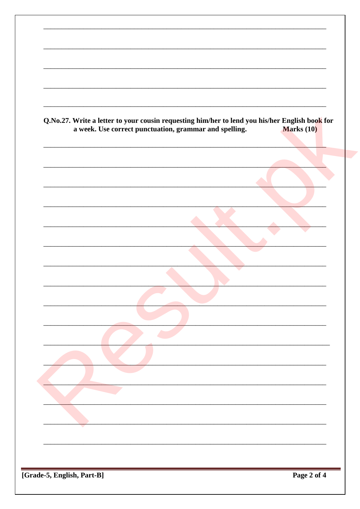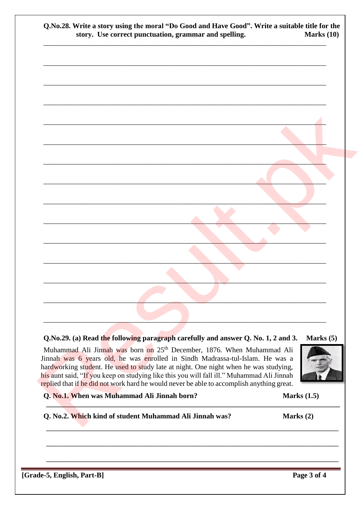| Q.No.28. Write a story using the moral "Do Good and Have Good". Write a suitable title for the<br>story. Use correct punctuation, grammar and spelling. | Marks (10) |
|---------------------------------------------------------------------------------------------------------------------------------------------------------|------------|
|                                                                                                                                                         |            |
|                                                                                                                                                         |            |
|                                                                                                                                                         |            |
|                                                                                                                                                         |            |
|                                                                                                                                                         |            |
|                                                                                                                                                         |            |
|                                                                                                                                                         |            |
|                                                                                                                                                         |            |
|                                                                                                                                                         |            |
|                                                                                                                                                         |            |
|                                                                                                                                                         |            |
|                                                                                                                                                         |            |
|                                                                                                                                                         |            |
|                                                                                                                                                         |            |

### Q.No.29. (a) Read the following paragraph carefully and answer Q. No. 1, 2 and 3. Marks $(5)$

Muhammad Ali Jinnah was born on 25<sup>th</sup> December, 1876. When Muhammad Ali Jinnah was 6 years old, he was enrolled in Sindh Madrassa-tul-Islam. He was a hardworking student. He used to study late at night. One night when he was studying, his aunt said, "If you keep on studying like this you will fall ill." Muhammad Ali Jinnah replied that if he did not work hard he would never be able to accomplish anything great.

### Q. No.1. When was Muhammad Ali Jinnah born?

## Q. No.2. Which kind of student Muhammad Ali Jinnah was?

Marks $(2)$ 

Marks  $(1.5)$ 

 $\boxed{\text{Grade-5}, \text{English}, \text{Part-B}}$ 

Page 3 of 4